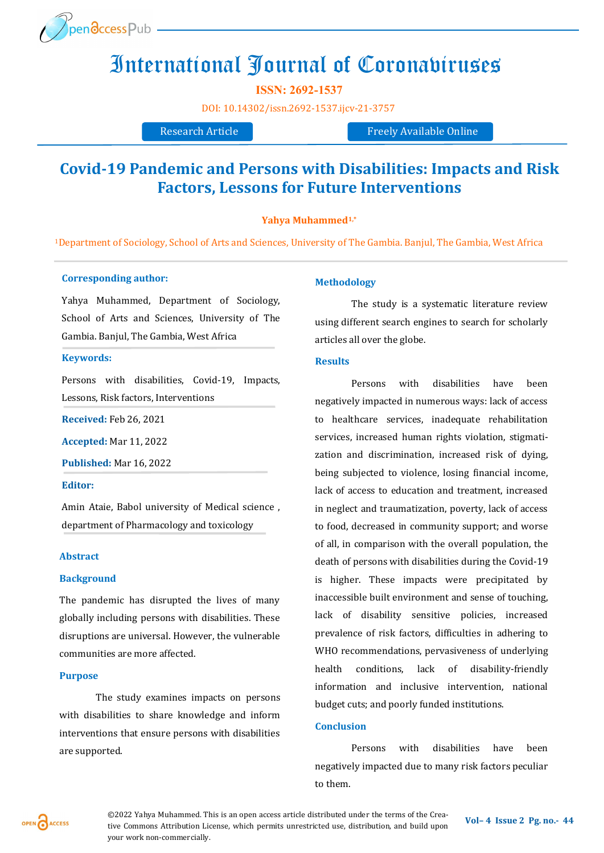

# International Journal of Coronaviruses

**ISSN: 2692-1537**

[DOI:](https://doi.org/10.14302/issn.2639-3166.jar-21-3872) [10.14302/issn.2692](https://doi.org/10.14302/issn.2692-1537.ijcv-21-3757)-1537.ijcv-21-3757

Research Article Freely Available Online

## **Covid-19 Pandemic and Persons with Disabilities: Impacts and Risk Factors, Lessons for Future Interventions**

#### **Yahya Muhammed1,\***

<sup>1</sup>Department of Sociology, School of Arts and Sciences, University of The Gambia. Banjul, The Gambia, West Africa

#### **Corresponding author:**

Yahya Muhammed, Department of Sociology, School of Arts and Sciences, University of The Gambia. Banjul, The Gambia, West Africa

#### **Keywords:**

Persons with disabilities, Covid-19, Impacts, Lessons, Risk factors, Interventions

**Received:** Feb 26, 2021

**Accepted:** Mar 11, 2022

**Published:** Mar 16, 2022

**Editor:** 

Amin Ataie, Babol university of Medical science , department of Pharmacology and toxicology

#### **Abstract**

#### **Background**

The pandemic has disrupted the lives of many globally including persons with disabilities. These disruptions are universal. However, the vulnerable communities are more affected.

#### **Purpose**

The study examines impacts on persons with disabilities to share knowledge and inform interventions that ensure persons with disabilities are supported.

#### **Methodology**

The study is a systematic literature review using different search engines to search for scholarly articles all over the globe.

#### **Results**

Persons with disabilities have been negatively impacted in numerous ways: lack of access to healthcare services, inadequate rehabilitation services, increased human rights violation, stigmatization and discrimination, increased risk of dying, being subjected to violence, losing financial income, lack of access to education and treatment, increased in neglect and traumatization, poverty, lack of access to food, decreased in community support; and worse of all, in comparison with the overall population, the death of persons with disabilities during the Covid-19 is higher. These impacts were precipitated by inaccessible built environment and sense of touching, lack of disability sensitive policies, increased prevalence of risk factors, difficulties in adhering to WHO recommendations, pervasiveness of underlying health conditions, lack of disability-friendly information and inclusive intervention, national budget cuts; and poorly funded institutions.

## **Conclusion**

Persons with disabilities have been negatively impacted due to many risk factors peculiar to them.

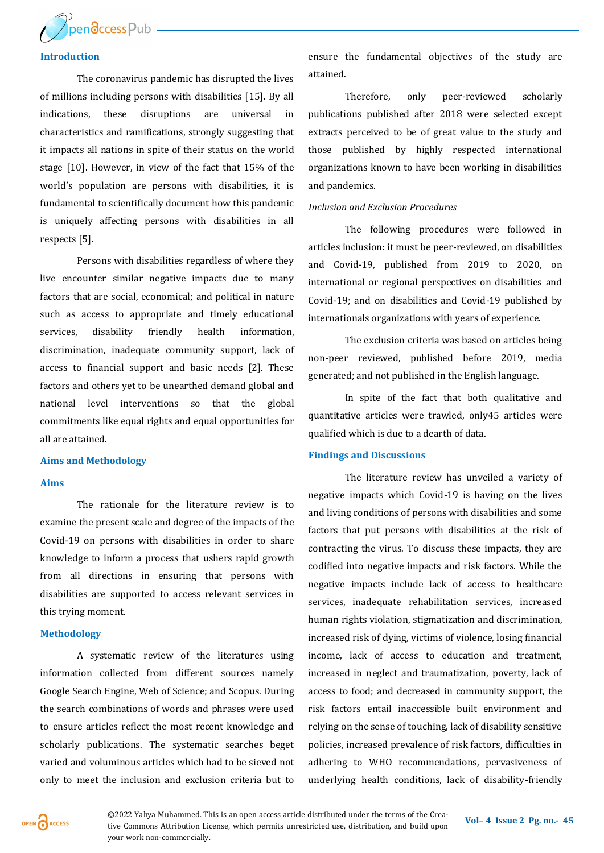

#### **Introduction**

The coronavirus pandemic has disrupted the lives of millions including persons with disabilities [15]. By all indications, these disruptions are universal in characteristics and ramifications, strongly suggesting that it impacts all nations in spite of their status on the world stage [10]. However, in view of the fact that 15% of the world's population are persons with disabilities, it is fundamental to scientifically document how this pandemic is uniquely affecting persons with disabilities in all respects [5].

Persons with disabilities regardless of where they live encounter similar negative impacts due to many factors that are social, economical; and political in nature such as access to appropriate and timely educational services, disability friendly health information, discrimination, inadequate community support, lack of access to financial support and basic needs [2]. These factors and others yet to be unearthed demand global and national level interventions so that the global commitments like equal rights and equal opportunities for all are attained.

#### **Aims and Methodology**

#### **Aims**

The rationale for the literature review is to examine the present scale and degree of the impacts of the Covid-19 on persons with disabilities in order to share knowledge to inform a process that ushers rapid growth from all directions in ensuring that persons with disabilities are supported to access relevant services in this trying moment.

#### **Methodology**

A systematic review of the literatures using information collected from different sources namely Google Search Engine, Web of Science; and Scopus. During the search combinations of words and phrases were used to ensure articles reflect the most recent knowledge and scholarly publications. The systematic searches beget varied and voluminous articles which had to be sieved not only to meet the inclusion and exclusion criteria but to

ensure the fundamental objectives of the study are attained.

Therefore, only peer-reviewed scholarly publications published after 2018 were selected except extracts perceived to be of great value to the study and those published by highly respected international organizations known to have been working in disabilities and pandemics.

#### *Inclusion and Exclusion Procedures*

The following procedures were followed in articles inclusion: it must be peer-reviewed, on disabilities and Covid-19, published from 2019 to 2020, on international or regional perspectives on disabilities and Covid-19; and on disabilities and Covid-19 published by internationals organizations with years of experience.

The exclusion criteria was based on articles being non-peer reviewed, published before 2019, media generated; and not published in the English language.

In spite of the fact that both qualitative and quantitative articles were trawled, only45 articles were qualified which is due to a dearth of data.

#### **Findings and Discussions**

The literature review has unveiled a variety of negative impacts which Covid-19 is having on the lives and living conditions of persons with disabilities and some factors that put persons with disabilities at the risk of contracting the virus. To discuss these impacts, they are codified into negative impacts and risk factors. While the negative impacts include lack of access to healthcare services, inadequate rehabilitation services, increased human rights violation, stigmatization and discrimination, increased risk of dying, victims of violence, losing financial income, lack of access to education and treatment, increased in neglect and traumatization, poverty, lack of access to food; and decreased in community support, the risk factors entail inaccessible built environment and relying on the sense of touching, lack of disability sensitive policies, increased prevalence of risk factors, difficulties in adhering to WHO recommendations, pervasiveness of underlying health conditions, lack of disability-friendly

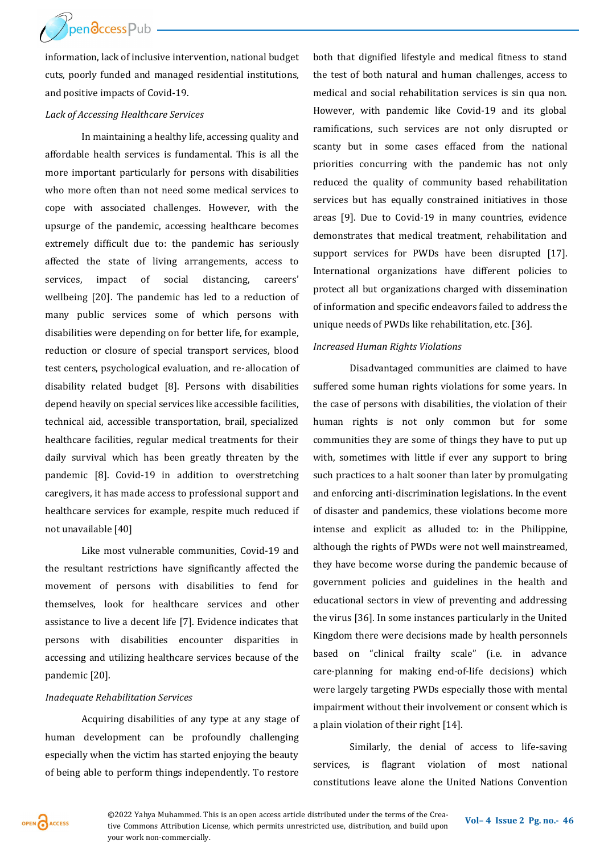information, lack of inclusive intervention, national budget cuts, poorly funded and managed residential institutions, and positive impacts of Covid-19.

## *Lack of Accessing Healthcare Services*

In maintaining a healthy life, accessing quality and affordable health services is fundamental. This is all the more important particularly for persons with disabilities who more often than not need some medical services to cope with associated challenges. However, with the upsurge of the pandemic, accessing healthcare becomes extremely difficult due to: the pandemic has seriously affected the state of living arrangements, access to services, impact of social distancing, careers' wellbeing [20]. The pandemic has led to a reduction of many public services some of which persons with disabilities were depending on for better life, for example, reduction or closure of special transport services, blood test centers, psychological evaluation, and re-allocation of disability related budget [8]. Persons with disabilities depend heavily on special services like accessible facilities, technical aid, accessible transportation, brail, specialized healthcare facilities, regular medical treatments for their daily survival which has been greatly threaten by the pandemic [8]. Covid-19 in addition to overstretching caregivers, it has made access to professional support and healthcare services for example, respite much reduced if not unavailable [40]

Like most vulnerable communities, Covid-19 and the resultant restrictions have significantly affected the movement of persons with disabilities to fend for themselves, look for healthcare services and other assistance to live a decent life [7]. Evidence indicates that persons with disabilities encounter disparities in accessing and utilizing healthcare services because of the pandemic [20].

## *Inadequate Rehabilitation Services*

Acquiring disabilities of any type at any stage of human development can be profoundly challenging especially when the victim has started enjoying the beauty of being able to perform things independently. To restore

both that dignified lifestyle and medical fitness to stand the test of both natural and human challenges, access to medical and social rehabilitation services is sin qua non. However, with pandemic like Covid-19 and its global ramifications, such services are not only disrupted or scanty but in some cases effaced from the national priorities concurring with the pandemic has not only reduced the quality of community based rehabilitation services but has equally constrained initiatives in those areas [9]. Due to Covid-19 in many countries, evidence demonstrates that medical treatment, rehabilitation and support services for PWDs have been disrupted [17]. International organizations have different policies to protect all but organizations charged with dissemination of information and specific endeavors failed to address the unique needs of PWDs like rehabilitation, etc. [36].

#### *Increased Human Rights Violations*

Disadvantaged communities are claimed to have suffered some human rights violations for some years. In the case of persons with disabilities, the violation of their human rights is not only common but for some communities they are some of things they have to put up with, sometimes with little if ever any support to bring such practices to a halt sooner than later by promulgating and enforcing anti-discrimination legislations. In the event of disaster and pandemics, these violations become more intense and explicit as alluded to: in the Philippine, although the rights of PWDs were not well mainstreamed, they have become worse during the pandemic because of government policies and guidelines in the health and educational sectors in view of preventing and addressing the virus [36]. In some instances particularly in the United Kingdom there were decisions made by health personnels based on "clinical frailty scale" (i.e. in advance care-planning for making end-of-life decisions) which were largely targeting PWDs especially those with mental impairment without their involvement or consent which is a plain violation of their right [14].

Similarly, the denial of access to life-saving services, is flagrant violation of most national constitutions leave alone the United Nations Convention

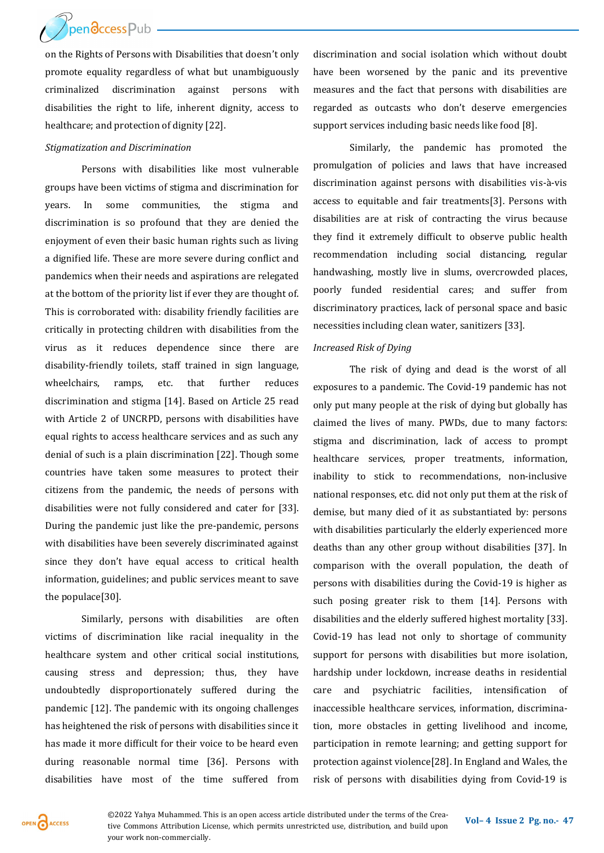Ppendccess Pub

on the Rights of Persons with Disabilities that doesn't only promote equality regardless of what but unambiguously criminalized discrimination against persons with disabilities the right to life, inherent dignity, access to healthcare; and protection of dignity [22].

#### *Stigmatization and Discrimination*

Persons with disabilities like most vulnerable groups have been victims of stigma and discrimination for years. In some communities, the stigma and discrimination is so profound that they are denied the enjoyment of even their basic human rights such as living a dignified life. These are more severe during conflict and pandemics when their needs and aspirations are relegated at the bottom of the priority list if ever they are thought of. This is corroborated with: disability friendly facilities are critically in protecting children with disabilities from the virus as it reduces dependence since there are disability-friendly toilets, staff trained in sign language, wheelchairs, ramps, etc. that further reduces discrimination and stigma [14]. Based on Article 25 read with Article 2 of UNCRPD, persons with disabilities have equal rights to access healthcare services and as such any denial of such is a plain discrimination [22]. Though some countries have taken some measures to protect their citizens from the pandemic, the needs of persons with disabilities were not fully considered and cater for [33]. During the pandemic just like the pre-pandemic, persons with disabilities have been severely discriminated against since they don't have equal access to critical health information, guidelines; and public services meant to save the populace[30].

Similarly, persons with disabilities are often victims of discrimination like racial inequality in the healthcare system and other critical social institutions, causing stress and depression; thus, they have undoubtedly disproportionately suffered during the pandemic [12]. The pandemic with its ongoing challenges has heightened the risk of persons with disabilities since it has made it more difficult for their voice to be heard even during reasonable normal time [36]. Persons with disabilities have most of the time suffered from

discrimination and social isolation which without doubt have been worsened by the panic and its preventive measures and the fact that persons with disabilities are regarded as outcasts who don't deserve emergencies support services including basic needs like food [8].

Similarly, the pandemic has promoted the promulgation of policies and laws that have increased discrimination against persons with disabilities vis-à-vis access to equitable and fair treatments[3]. Persons with disabilities are at risk of contracting the virus because they find it extremely difficult to observe public health recommendation including social distancing, regular handwashing, mostly live in slums, overcrowded places, poorly funded residential cares; and suffer from discriminatory practices, lack of personal space and basic necessities including clean water, sanitizers [33].

#### *Increased Risk of Dying*

The risk of dying and dead is the worst of all exposures to a pandemic. The Covid-19 pandemic has not only put many people at the risk of dying but globally has claimed the lives of many. PWDs, due to many factors: stigma and discrimination, lack of access to prompt healthcare services, proper treatments, information, inability to stick to recommendations, non-inclusive national responses, etc. did not only put them at the risk of demise, but many died of it as substantiated by: persons with disabilities particularly the elderly experienced more deaths than any other group without disabilities [37]. In comparison with the overall population, the death of persons with disabilities during the Covid-19 is higher as such posing greater risk to them [14]. Persons with disabilities and the elderly suffered highest mortality [33]. Covid-19 has lead not only to shortage of community support for persons with disabilities but more isolation, hardship under lockdown, increase deaths in residential care and psychiatric facilities, intensification of inaccessible healthcare services, information, discrimination, more obstacles in getting livelihood and income, participation in remote learning; and getting support for protection against violence[28]. In England and Wales, the risk of persons with disabilities dying from Covid-19 is

OPEN CACCESS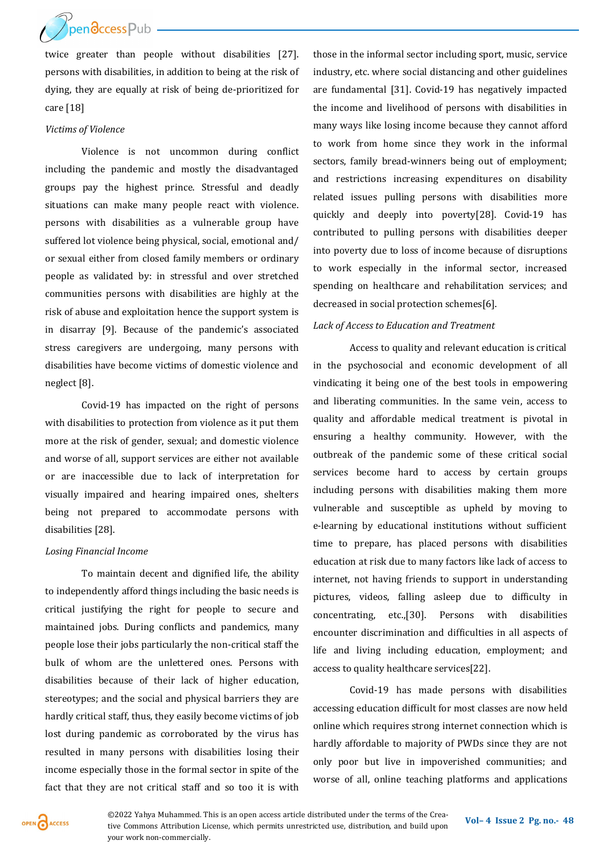Ppendccess Pub

twice greater than people without disabilities [27]. persons with disabilities, in addition to being at the risk of dying, they are equally at risk of being de-prioritized for care [18]

#### *Victims of Violence*

Violence is not uncommon during conflict including the pandemic and mostly the disadvantaged groups pay the highest prince. Stressful and deadly situations can make many people react with violence. persons with disabilities as a vulnerable group have suffered lot violence being physical, social, emotional and/ or sexual either from closed family members or ordinary people as validated by: in stressful and over stretched communities persons with disabilities are highly at the risk of abuse and exploitation hence the support system is in disarray [9]. Because of the pandemic's associated stress caregivers are undergoing, many persons with disabilities have become victims of domestic violence and neglect [8].

Covid-19 has impacted on the right of persons with disabilities to protection from violence as it put them more at the risk of gender, sexual; and domestic violence and worse of all, support services are either not available or are inaccessible due to lack of interpretation for visually impaired and hearing impaired ones, shelters being not prepared to accommodate persons with disabilities [28].

### *Losing Financial Income*

To maintain decent and dignified life, the ability to independently afford things including the basic needs is critical justifying the right for people to secure and maintained jobs. During conflicts and pandemics, many people lose their jobs particularly the non-critical staff the bulk of whom are the unlettered ones. Persons with disabilities because of their lack of higher education, stereotypes; and the social and physical barriers they are hardly critical staff, thus, they easily become victims of job lost during pandemic as corroborated by the virus has resulted in many persons with disabilities losing their income especially those in the formal sector in spite of the fact that they are not critical staff and so too it is with

those in the informal sector including sport, music, service industry, etc. where social distancing and other guidelines are fundamental [31]. Covid-19 has negatively impacted the income and livelihood of persons with disabilities in many ways like losing income because they cannot afford to work from home since they work in the informal sectors, family bread-winners being out of employment; and restrictions increasing expenditures on disability related issues pulling persons with disabilities more quickly and deeply into poverty[28]. Covid-19 has contributed to pulling persons with disabilities deeper into poverty due to loss of income because of disruptions to work especially in the informal sector, increased spending on healthcare and rehabilitation services; and decreased in social protection schemes[6].

#### *Lack of Access to Education and Treatment*

Access to quality and relevant education is critical in the psychosocial and economic development of all vindicating it being one of the best tools in empowering and liberating communities. In the same vein, access to quality and affordable medical treatment is pivotal in ensuring a healthy community. However, with the outbreak of the pandemic some of these critical social services become hard to access by certain groups including persons with disabilities making them more vulnerable and susceptible as upheld by moving to e-learning by educational institutions without sufficient time to prepare, has placed persons with disabilities education at risk due to many factors like lack of access to internet, not having friends to support in understanding pictures, videos, falling asleep due to difficulty in concentrating, etc.,[30]. Persons with disabilities encounter discrimination and difficulties in all aspects of life and living including education, employment; and access to quality healthcare services[22].

Covid-19 has made persons with disabilities accessing education difficult for most classes are now held online which requires strong internet connection which is hardly affordable to majority of PWDs since they are not only poor but live in impoverished communities; and worse of all, online teaching platforms and applications

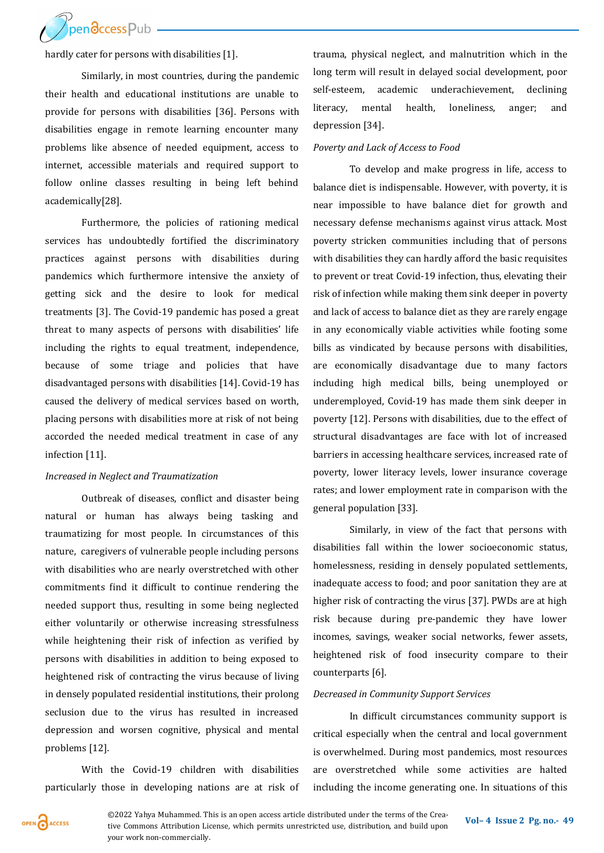

hardly cater for persons with disabilities [1].

Similarly, in most countries, during the pandemic their health and educational institutions are unable to provide for persons with disabilities [36]. Persons with disabilities engage in remote learning encounter many problems like absence of needed equipment, access to internet, accessible materials and required support to follow online classes resulting in being left behind academically[28].

Furthermore, the policies of rationing medical services has undoubtedly fortified the discriminatory practices against persons with disabilities during pandemics which furthermore intensive the anxiety of getting sick and the desire to look for medical treatments [3]. The Covid-19 pandemic has posed a great threat to many aspects of persons with disabilities' life including the rights to equal treatment, independence, because of some triage and policies that have disadvantaged persons with disabilities [14]. Covid-19 has caused the delivery of medical services based on worth, placing persons with disabilities more at risk of not being accorded the needed medical treatment in case of any infection [11].

#### *Increased in Neglect and Traumatization*

Outbreak of diseases, conflict and disaster being natural or human has always being tasking and traumatizing for most people. In circumstances of this nature, caregivers of vulnerable people including persons with disabilities who are nearly overstretched with other commitments find it difficult to continue rendering the needed support thus, resulting in some being neglected either voluntarily or otherwise increasing stressfulness while heightening their risk of infection as verified by persons with disabilities in addition to being exposed to heightened risk of contracting the virus because of living in densely populated residential institutions, their prolong seclusion due to the virus has resulted in increased depression and worsen cognitive, physical and mental problems [12].

With the Covid-19 children with disabilities particularly those in developing nations are at risk of trauma, physical neglect, and malnutrition which in the long term will result in delayed social development, poor self-esteem, academic underachievement, declining literacy, mental health, loneliness, anger; and depression [34].

#### *Poverty and Lack of Access to Food*

To develop and make progress in life, access to balance diet is indispensable. However, with poverty, it is near impossible to have balance diet for growth and necessary defense mechanisms against virus attack. Most poverty stricken communities including that of persons with disabilities they can hardly afford the basic requisites to prevent or treat Covid-19 infection, thus, elevating their risk of infection while making them sink deeper in poverty and lack of access to balance diet as they are rarely engage in any economically viable activities while footing some bills as vindicated by because persons with disabilities, are economically disadvantage due to many factors including high medical bills, being unemployed or underemployed, Covid-19 has made them sink deeper in poverty [12]. Persons with disabilities, due to the effect of structural disadvantages are face with lot of increased barriers in accessing healthcare services, increased rate of poverty, lower literacy levels, lower insurance coverage rates; and lower employment rate in comparison with the general population [33].

Similarly, in view of the fact that persons with disabilities fall within the lower socioeconomic status, homelessness, residing in densely populated settlements, inadequate access to food; and poor sanitation they are at higher risk of contracting the virus [37]. PWDs are at high risk because during pre-pandemic they have lower incomes, savings, weaker social networks, fewer assets, heightened risk of food insecurity compare to their counterparts [6].

#### *Decreased in Community Support Services*

In difficult circumstances community support is critical especially when the central and local government is overwhelmed. During most pandemics, most resources are overstretched while some activities are halted including the income generating one. In situations of this



**Vol– <sup>4</sup>Issue 2 Pg. no.-<sup>49</sup>** ©2022 Yahya Muhammed. This is an open access article distributed under the terms of the Creative Commons Attribution License, which permits unrestricted use, distribution, and build upon your work non-commercially.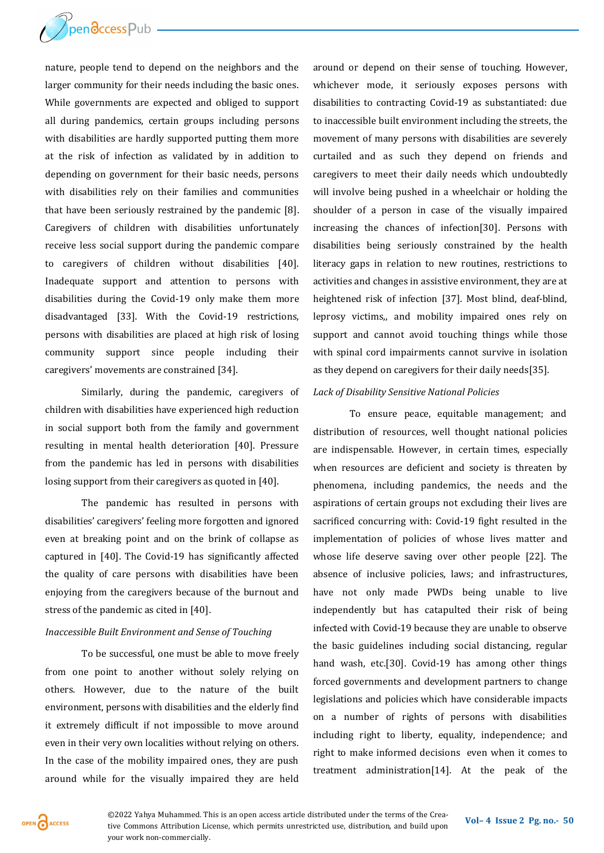

nature, people tend to depend on the neighbors and the larger community for their needs including the basic ones. While governments are expected and obliged to support all during pandemics, certain groups including persons with disabilities are hardly supported putting them more at the risk of infection as validated by in addition to depending on government for their basic needs, persons with disabilities rely on their families and communities that have been seriously restrained by the pandemic [8]. Caregivers of children with disabilities unfortunately receive less social support during the pandemic compare to caregivers of children without disabilities [40]. Inadequate support and attention to persons with disabilities during the Covid-19 only make them more disadvantaged [33]. With the Covid-19 restrictions, persons with disabilities are placed at high risk of losing community support since people including their caregivers' movements are constrained [34].

Similarly, during the pandemic, caregivers of children with disabilities have experienced high reduction in social support both from the family and government resulting in mental health deterioration [40]. Pressure from the pandemic has led in persons with disabilities losing support from their caregivers as quoted in [40].

The pandemic has resulted in persons with disabilities' caregivers' feeling more forgotten and ignored even at breaking point and on the brink of collapse as captured in [40]. The Covid-19 has significantly affected the quality of care persons with disabilities have been enjoying from the caregivers because of the burnout and stress of the pandemic as cited in [40].

#### *Inaccessible Built Environment and Sense of Touching*

To be successful, one must be able to move freely from one point to another without solely relying on others. However, due to the nature of the built environment, persons with disabilities and the elderly find it extremely difficult if not impossible to move around even in their very own localities without relying on others. In the case of the mobility impaired ones, they are push around while for the visually impaired they are held

around or depend on their sense of touching. However, whichever mode, it seriously exposes persons with disabilities to contracting Covid-19 as substantiated: due to inaccessible built environment including the streets, the movement of many persons with disabilities are severely curtailed and as such they depend on friends and caregivers to meet their daily needs which undoubtedly will involve being pushed in a wheelchair or holding the shoulder of a person in case of the visually impaired increasing the chances of infection[30]. Persons with disabilities being seriously constrained by the health literacy gaps in relation to new routines, restrictions to activities and changes in assistive environment, they are at heightened risk of infection [37]. Most blind, deaf-blind, leprosy victims,, and mobility impaired ones rely on support and cannot avoid touching things while those with spinal cord impairments cannot survive in isolation as they depend on caregivers for their daily needs[35].

#### *Lack of Disability Sensitive National Policies*

To ensure peace, equitable management; and distribution of resources, well thought national policies are indispensable. However, in certain times, especially when resources are deficient and society is threaten by phenomena, including pandemics, the needs and the aspirations of certain groups not excluding their lives are sacrificed concurring with: Covid-19 fight resulted in the implementation of policies of whose lives matter and whose life deserve saving over other people [22]. The absence of inclusive policies, laws; and infrastructures, have not only made PWDs being unable to live independently but has catapulted their risk of being infected with Covid-19 because they are unable to observe the basic guidelines including social distancing, regular hand wash, etc.[30]. Covid-19 has among other things forced governments and development partners to change legislations and policies which have considerable impacts on a number of rights of persons with disabilities including right to liberty, equality, independence; and right to make informed decisions even when it comes to treatment administration[14]. At the peak of the

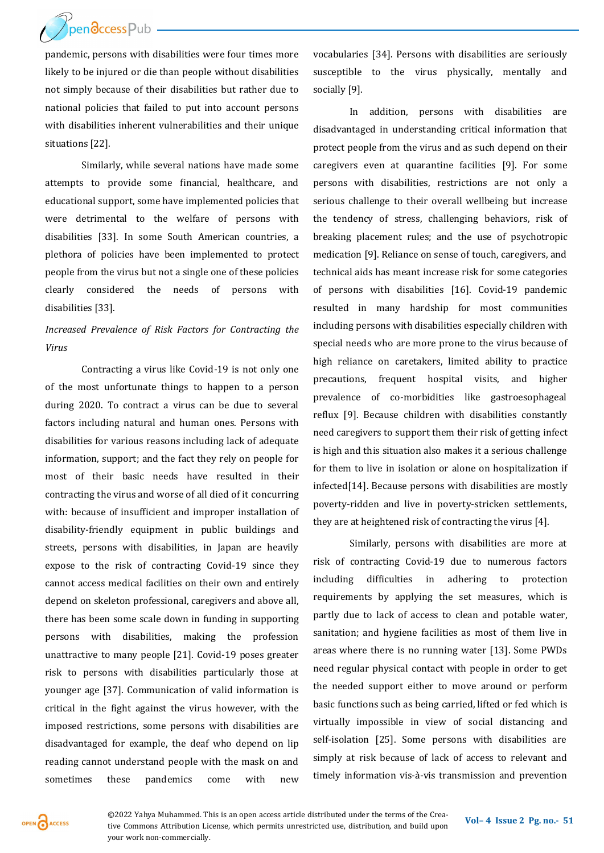pandemic, persons with disabilities were four times more likely to be injured or die than people without disabilities not simply because of their disabilities but rather due to national policies that failed to put into account persons with disabilities inherent vulnerabilities and their unique situations [22].

Similarly, while several nations have made some attempts to provide some financial, healthcare, and educational support, some have implemented policies that were detrimental to the welfare of persons with disabilities [33]. In some South American countries, a plethora of policies have been implemented to protect people from the virus but not a single one of these policies clearly considered the needs of persons with disabilities [33].

## *Increased Prevalence of Risk Factors for Contracting the Virus*

Contracting a virus like Covid-19 is not only one of the most unfortunate things to happen to a person during 2020. To contract a virus can be due to several factors including natural and human ones. Persons with disabilities for various reasons including lack of adequate information, support; and the fact they rely on people for most of their basic needs have resulted in their contracting the virus and worse of all died of it concurring with: because of insufficient and improper installation of disability-friendly equipment in public buildings and streets, persons with disabilities, in Japan are heavily expose to the risk of contracting Covid-19 since they cannot access medical facilities on their own and entirely depend on skeleton professional, caregivers and above all, there has been some scale down in funding in supporting persons with disabilities, making the profession unattractive to many people [21]. Covid-19 poses greater risk to persons with disabilities particularly those at younger age [37]. Communication of valid information is critical in the fight against the virus however, with the imposed restrictions, some persons with disabilities are disadvantaged for example, the deaf who depend on lip reading cannot understand people with the mask on and sometimes these pandemics come with new

vocabularies [34]. Persons with disabilities are seriously susceptible to the virus physically, mentally and socially [9].

In addition, persons with disabilities are disadvantaged in understanding critical information that protect people from the virus and as such depend on their caregivers even at quarantine facilities [9]. For some persons with disabilities, restrictions are not only a serious challenge to their overall wellbeing but increase the tendency of stress, challenging behaviors, risk of breaking placement rules; and the use of psychotropic medication [9]. Reliance on sense of touch, caregivers, and technical aids has meant increase risk for some categories of persons with disabilities [16]. Covid-19 pandemic resulted in many hardship for most communities including persons with disabilities especially children with special needs who are more prone to the virus because of high reliance on caretakers, limited ability to practice precautions, frequent hospital visits, and higher prevalence of co-morbidities like gastroesophageal reflux [9]. Because children with disabilities constantly need caregivers to support them their risk of getting infect is high and this situation also makes it a serious challenge for them to live in isolation or alone on hospitalization if infected[14]. Because persons with disabilities are mostly poverty-ridden and live in poverty-stricken settlements, they are at heightened risk of contracting the virus [4].

Similarly, persons with disabilities are more at risk of contracting Covid-19 due to numerous factors including difficulties in adhering to protection requirements by applying the set measures, which is partly due to lack of access to clean and potable water, sanitation; and hygiene facilities as most of them live in areas where there is no running water [13]. Some PWDs need regular physical contact with people in order to get the needed support either to move around or perform basic functions such as being carried, lifted or fed which is virtually impossible in view of social distancing and self-isolation [25]. Some persons with disabilities are simply at risk because of lack of access to relevant and timely information vis-à-vis transmission and prevention

OPEN CACCESS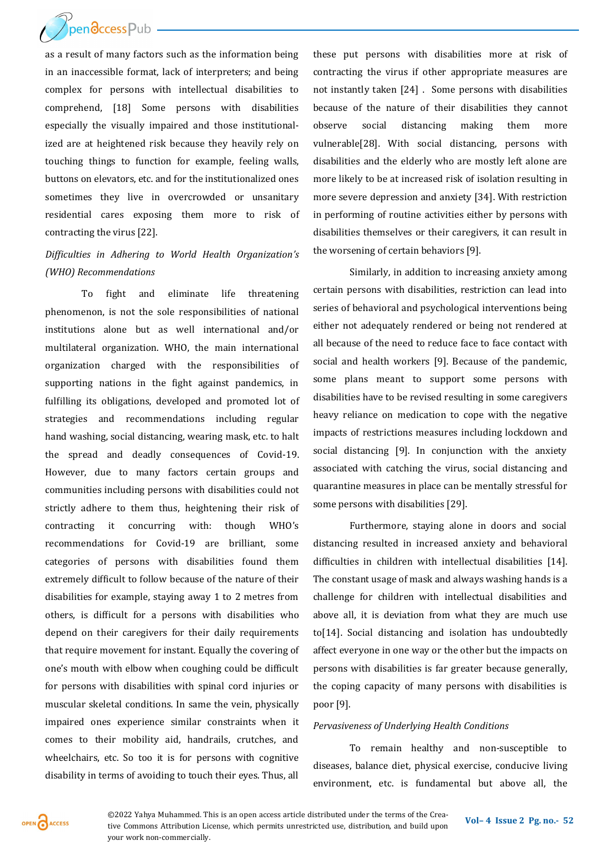Ppendccess Pub

as a result of many factors such as the information being in an inaccessible format, lack of interpreters; and being complex for persons with intellectual disabilities to comprehend, [18] Some persons with disabilities especially the visually impaired and those institutionalized are at heightened risk because they heavily rely on touching things to function for example, feeling walls, buttons on elevators, etc. and for the institutionalized ones sometimes they live in overcrowded or unsanitary residential cares exposing them more to risk of contracting the virus [22].

## *Difficulties in Adhering to World Health Organization's (WHO) Recommendations*

To fight and eliminate life threatening phenomenon, is not the sole responsibilities of national institutions alone but as well international and/or multilateral organization. WHO, the main international organization charged with the responsibilities of supporting nations in the fight against pandemics, in fulfilling its obligations, developed and promoted lot of strategies and recommendations including regular hand washing, social distancing, wearing mask, etc. to halt the spread and deadly consequences of Covid-19. However, due to many factors certain groups and communities including persons with disabilities could not strictly adhere to them thus, heightening their risk of contracting it concurring with: though WHO's recommendations for Covid-19 are brilliant, some categories of persons with disabilities found them extremely difficult to follow because of the nature of their disabilities for example, staying away 1 to 2 metres from others, is difficult for a persons with disabilities who depend on their caregivers for their daily requirements that require movement for instant. Equally the covering of one's mouth with elbow when coughing could be difficult for persons with disabilities with spinal cord injuries or muscular skeletal conditions. In same the vein, physically impaired ones experience similar constraints when it comes to their mobility aid, handrails, crutches, and wheelchairs, etc. So too it is for persons with cognitive disability in terms of avoiding to touch their eyes. Thus, all

these put persons with disabilities more at risk of contracting the virus if other appropriate measures are not instantly taken [24] . Some persons with disabilities because of the nature of their disabilities they cannot observe social distancing making them more vulnerable[28]. With social distancing, persons with disabilities and the elderly who are mostly left alone are more likely to be at increased risk of isolation resulting in more severe depression and anxiety [34]. With restriction in performing of routine activities either by persons with disabilities themselves or their caregivers, it can result in the worsening of certain behaviors [9].

Similarly, in addition to increasing anxiety among certain persons with disabilities, restriction can lead into series of behavioral and psychological interventions being either not adequately rendered or being not rendered at all because of the need to reduce face to face contact with social and health workers [9]. Because of the pandemic, some plans meant to support some persons with disabilities have to be revised resulting in some caregivers heavy reliance on medication to cope with the negative impacts of restrictions measures including lockdown and social distancing [9]. In conjunction with the anxiety associated with catching the virus, social distancing and quarantine measures in place can be mentally stressful for some persons with disabilities [29].

Furthermore, staying alone in doors and social distancing resulted in increased anxiety and behavioral difficulties in children with intellectual disabilities [14]. The constant usage of mask and always washing hands is a challenge for children with intellectual disabilities and above all, it is deviation from what they are much use to[14]. Social distancing and isolation has undoubtedly affect everyone in one way or the other but the impacts on persons with disabilities is far greater because generally, the coping capacity of many persons with disabilities is poor [9].

#### *Pervasiveness of Underlying Health Conditions*

To remain healthy and non-susceptible to diseases, balance diet, physical exercise, conducive living environment, etc. is fundamental but above all, the

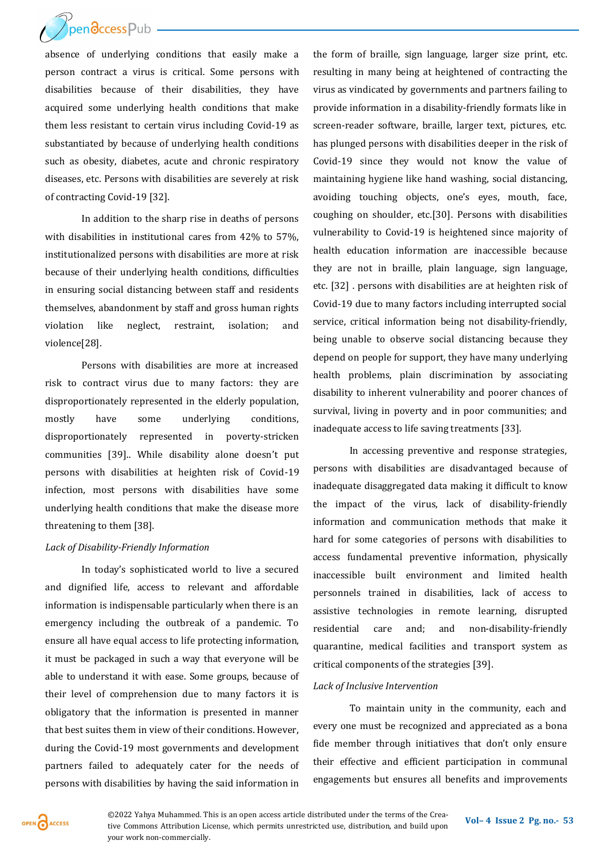

absence of underlying conditions that easily make a person contract a virus is critical. Some persons with disabilities because of their disabilities, they have acquired some underlying health conditions that make them less resistant to certain virus including Covid-19 as substantiated by because of underlying health conditions such as obesity, diabetes, acute and chronic respiratory diseases, etc. Persons with disabilities are severely at risk of contracting Covid-19 [32].

In addition to the sharp rise in deaths of persons with disabilities in institutional cares from 42% to 57%, institutionalized persons with disabilities are more at risk because of their underlying health conditions, difficulties in ensuring social distancing between staff and residents themselves, abandonment by staff and gross human rights violation like neglect, restraint, isolation; and violence[28].

Persons with disabilities are more at increased risk to contract virus due to many factors: they are disproportionately represented in the elderly population, mostly have some underlying conditions, disproportionately represented in poverty-stricken communities [39].. While disability alone doesn't put persons with disabilities at heighten risk of Covid-19 infection, most persons with disabilities have some underlying health conditions that make the disease more threatening to them [38].

#### *Lack of Disability-Friendly Information*

In today's sophisticated world to live a secured and dignified life, access to relevant and affordable information is indispensable particularly when there is an emergency including the outbreak of a pandemic. To ensure all have equal access to life protecting information, it must be packaged in such a way that everyone will be able to understand it with ease. Some groups, because of their level of comprehension due to many factors it is obligatory that the information is presented in manner that best suites them in view of their conditions. However, during the Covid-19 most governments and development partners failed to adequately cater for the needs of persons with disabilities by having the said information in

the form of braille, sign language, larger size print, etc. resulting in many being at heightened of contracting the virus as vindicated by governments and partners failing to provide information in a disability-friendly formats like in screen-reader software, braille, larger text, pictures, etc. has plunged persons with disabilities deeper in the risk of Covid-19 since they would not know the value of maintaining hygiene like hand washing, social distancing, avoiding touching objects, one's eyes, mouth, face, coughing on shoulder, etc.[30]. Persons with disabilities vulnerability to Covid-19 is heightened since majority of health education information are inaccessible because they are not in braille, plain language, sign language, etc. [32] . persons with disabilities are at heighten risk of Covid-19 due to many factors including interrupted social service, critical information being not disability-friendly, being unable to observe social distancing because they depend on people for support, they have many underlying health problems, plain discrimination by associating disability to inherent vulnerability and poorer chances of survival, living in poverty and in poor communities; and inadequate access to life saving treatments [33].

In accessing preventive and response strategies, persons with disabilities are disadvantaged because of inadequate disaggregated data making it difficult to know the impact of the virus, lack of disability-friendly information and communication methods that make it hard for some categories of persons with disabilities to access fundamental preventive information, physically inaccessible built environment and limited health personnels trained in disabilities, lack of access to assistive technologies in remote learning, disrupted residential care and; and non-disability-friendly quarantine, medical facilities and transport system as critical components of the strategies [39].

#### *Lack of Inclusive Intervention*

To maintain unity in the community, each and every one must be recognized and appreciated as a bona fide member through initiatives that don't only ensure their effective and efficient participation in communal engagements but ensures all benefits and improvements

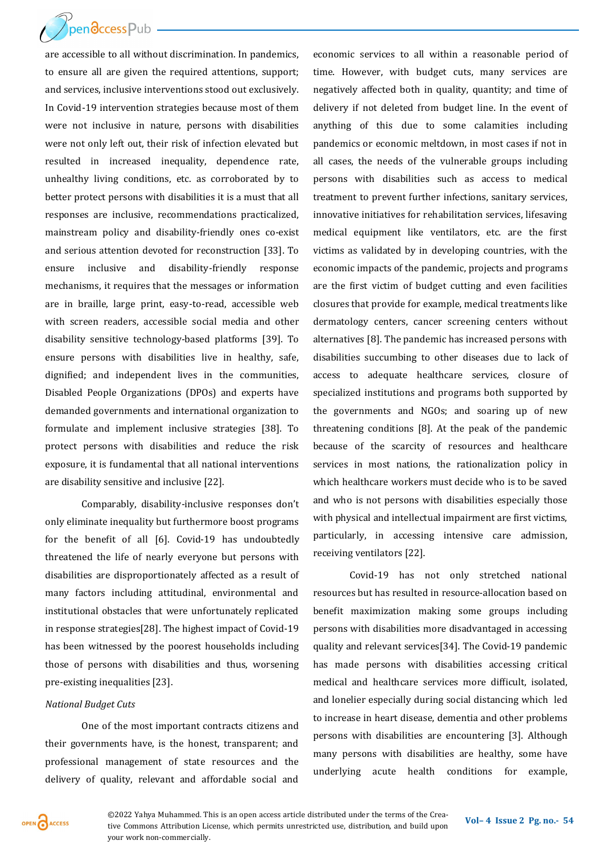are accessible to all without discrimination. In pandemics, to ensure all are given the required attentions, support; and services, inclusive interventions stood out exclusively. In Covid-19 intervention strategies because most of them were not inclusive in nature, persons with disabilities were not only left out, their risk of infection elevated but resulted in increased inequality, dependence rate, unhealthy living conditions, etc. as corroborated by to better protect persons with disabilities it is a must that all responses are inclusive, recommendations practicalized, mainstream policy and disability-friendly ones co-exist and serious attention devoted for reconstruction [33]. To ensure inclusive and disability-friendly response mechanisms, it requires that the messages or information are in braille, large print, easy-to-read, accessible web with screen readers, accessible social media and other disability sensitive technology-based platforms [39]. To ensure persons with disabilities live in healthy, safe, dignified; and independent lives in the communities, Disabled People Organizations (DPOs) and experts have demanded governments and international organization to formulate and implement inclusive strategies [38]. To protect persons with disabilities and reduce the risk exposure, it is fundamental that all national interventions are disability sensitive and inclusive [22].

Comparably, disability-inclusive responses don't only eliminate inequality but furthermore boost programs for the benefit of all [6]. Covid-19 has undoubtedly threatened the life of nearly everyone but persons with disabilities are disproportionately affected as a result of many factors including attitudinal, environmental and institutional obstacles that were unfortunately replicated in response strategies[28]. The highest impact of Covid-19 has been witnessed by the poorest households including those of persons with disabilities and thus, worsening pre-existing inequalities [23].

## *National Budget Cuts*

One of the most important contracts citizens and their governments have, is the honest, transparent; and professional management of state resources and the delivery of quality, relevant and affordable social and economic services to all within a reasonable period of time. However, with budget cuts, many services are negatively affected both in quality, quantity; and time of delivery if not deleted from budget line. In the event of anything of this due to some calamities including pandemics or economic meltdown, in most cases if not in all cases, the needs of the vulnerable groups including persons with disabilities such as access to medical treatment to prevent further infections, sanitary services, innovative initiatives for rehabilitation services, lifesaving medical equipment like ventilators, etc. are the first victims as validated by in developing countries, with the economic impacts of the pandemic, projects and programs are the first victim of budget cutting and even facilities closures that provide for example, medical treatments like dermatology centers, cancer screening centers without alternatives [8]. The pandemic has increased persons with disabilities succumbing to other diseases due to lack of access to adequate healthcare services, closure of specialized institutions and programs both supported by the governments and NGOs; and soaring up of new threatening conditions [8]. At the peak of the pandemic because of the scarcity of resources and healthcare services in most nations, the rationalization policy in which healthcare workers must decide who is to be saved and who is not persons with disabilities especially those with physical and intellectual impairment are first victims, particularly, in accessing intensive care admission, receiving ventilators [22].

Covid-19 has not only stretched national resources but has resulted in resource-allocation based on benefit maximization making some groups including persons with disabilities more disadvantaged in accessing quality and relevant services[34]. The Covid-19 pandemic has made persons with disabilities accessing critical medical and healthcare services more difficult, isolated, and lonelier especially during social distancing which led to increase in heart disease, dementia and other problems persons with disabilities are encountering [3]. Although many persons with disabilities are healthy, some have underlying acute health conditions for example,



**©2022 Yahya Muhammed. This is an open access article distributed under the terms of the Crea-<br>
<b>Vol–4** Issue 2 Pg. no.- 54 tive Commons Attribution License, which permits unrestricted use, distribution, and build upon your work non-commercially.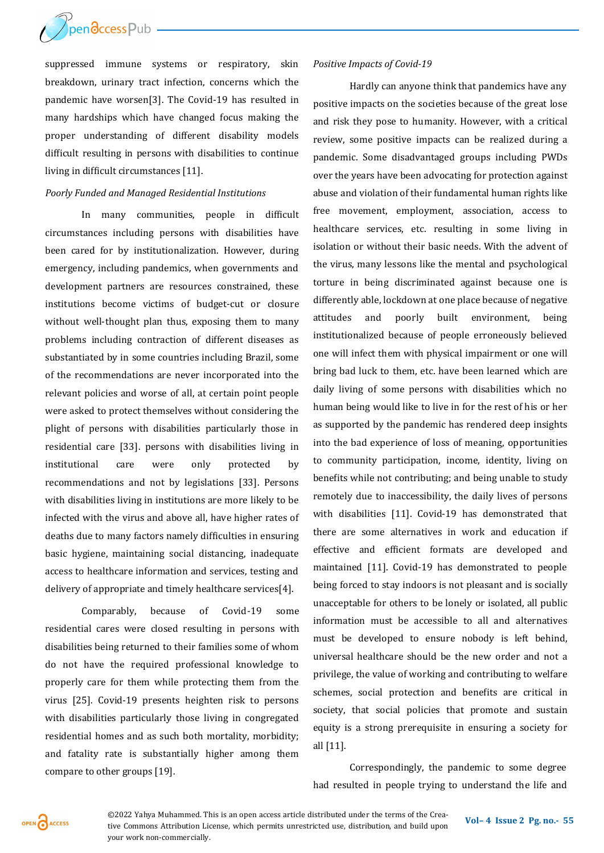

suppressed immune systems or respiratory, skin breakdown, urinary tract infection, concerns which the pandemic have worsen[3]. The Covid-19 has resulted in many hardships which have changed focus making the proper understanding of different disability models difficult resulting in persons with disabilities to continue living in difficult circumstances [11].

#### *Poorly Funded and Managed Residential Institutions*

In many communities, people in difficult circumstances including persons with disabilities have been cared for by institutionalization. However, during emergency, including pandemics, when governments and development partners are resources constrained, these institutions become victims of budget-cut or closure without well-thought plan thus, exposing them to many problems including contraction of different diseases as substantiated by in some countries including Brazil, some of the recommendations are never incorporated into the relevant policies and worse of all, at certain point people were asked to protect themselves without considering the plight of persons with disabilities particularly those in residential care [33]. persons with disabilities living in institutional care were only protected by recommendations and not by legislations [33]. Persons with disabilities living in institutions are more likely to be infected with the virus and above all, have higher rates of deaths due to many factors namely difficulties in ensuring basic hygiene, maintaining social distancing, inadequate access to healthcare information and services, testing and delivery of appropriate and timely healthcare services[4].

Comparably, because of Covid-19 some residential cares were closed resulting in persons with disabilities being returned to their families some of whom do not have the required professional knowledge to properly care for them while protecting them from the virus [25]. Covid-19 presents heighten risk to persons with disabilities particularly those living in congregated residential homes and as such both mortality, morbidity; and fatality rate is substantially higher among them compare to other groups [19].

#### *Positive Impacts of Covid-19*

Hardly can anyone think that pandemics have any positive impacts on the societies because of the great lose and risk they pose to humanity. However, with a critical review, some positive impacts can be realized during a pandemic. Some disadvantaged groups including PWDs over the years have been advocating for protection against abuse and violation of their fundamental human rights like free movement, employment, association, access to healthcare services, etc. resulting in some living in isolation or without their basic needs. With the advent of the virus, many lessons like the mental and psychological torture in being discriminated against because one is differently able, lockdown at one place because of negative attitudes and poorly built environment, being institutionalized because of people erroneously believed one will infect them with physical impairment or one will bring bad luck to them, etc. have been learned which are daily living of some persons with disabilities which no human being would like to live in for the rest of his or her as supported by the pandemic has rendered deep insights into the bad experience of loss of meaning, opportunities to community participation, income, identity, living on benefits while not contributing; and being unable to study remotely due to inaccessibility, the daily lives of persons with disabilities [11]. Covid-19 has demonstrated that there are some alternatives in work and education if effective and efficient formats are developed and maintained [11]. Covid-19 has demonstrated to people being forced to stay indoors is not pleasant and is socially unacceptable for others to be lonely or isolated, all public information must be accessible to all and alternatives must be developed to ensure nobody is left behind, universal healthcare should be the new order and not a privilege, the value of working and contributing to welfare schemes, social protection and benefits are critical in society, that social policies that promote and sustain equity is a strong prerequisite in ensuring a society for all [11].

Correspondingly, the pandemic to some degree had resulted in people trying to understand the life and

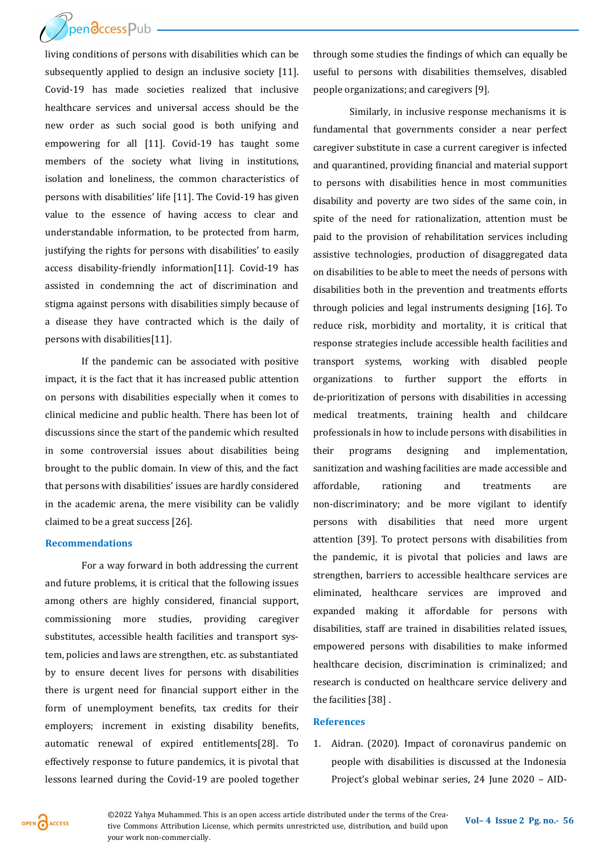

living conditions of persons with disabilities which can be subsequently applied to design an inclusive society [11]. Covid-19 has made societies realized that inclusive healthcare services and universal access should be the new order as such social good is both unifying and empowering for all [11]. Covid-19 has taught some members of the society what living in institutions, isolation and loneliness, the common characteristics of persons with disabilities' life [11]. The Covid-19 has given value to the essence of having access to clear and understandable information, to be protected from harm, justifying the rights for persons with disabilities' to easily access disability-friendly information[11]. Covid-19 has assisted in condemning the act of discrimination and stigma against persons with disabilities simply because of a disease they have contracted which is the daily of persons with disabilities[11].

If the pandemic can be associated with positive impact, it is the fact that it has increased public attention on persons with disabilities especially when it comes to clinical medicine and public health. There has been lot of discussions since the start of the pandemic which resulted in some controversial issues about disabilities being brought to the public domain. In view of this, and the fact that persons with disabilities' issues are hardly considered in the academic arena, the mere visibility can be validly claimed to be a great success [26].

#### **Recommendations**

For a way forward in both addressing the current and future problems, it is critical that the following issues among others are highly considered, financial support, commissioning more studies, providing caregiver substitutes, accessible health facilities and transport system, policies and laws are strengthen, etc. as substantiated by to ensure decent lives for persons with disabilities there is urgent need for financial support either in the form of unemployment benefits, tax credits for their employers; increment in existing disability benefits, automatic renewal of expired entitlements[28]. To effectively response to future pandemics, it is pivotal that lessons learned during the Covid-19 are pooled together

through some studies the findings of which can equally be useful to persons with disabilities themselves, disabled people organizations; and caregivers [9].

Similarly, in inclusive response mechanisms it is fundamental that governments consider a near perfect caregiver substitute in case a current caregiver is infected and quarantined, providing financial and material support to persons with disabilities hence in most communities disability and poverty are two sides of the same coin, in spite of the need for rationalization, attention must be paid to the provision of rehabilitation services including assistive technologies, production of disaggregated data on disabilities to be able to meet the needs of persons with disabilities both in the prevention and treatments efforts through policies and legal instruments designing [16]. To reduce risk, morbidity and mortality, it is critical that response strategies include accessible health facilities and transport systems, working with disabled people organizations to further support the efforts in de-prioritization of persons with disabilities in accessing medical treatments, training health and childcare professionals in how to include persons with disabilities in their programs designing and implementation, sanitization and washing facilities are made accessible and affordable, rationing and treatments are non-discriminatory; and be more vigilant to identify persons with disabilities that need more urgent attention [39]. To protect persons with disabilities from the pandemic, it is pivotal that policies and laws are strengthen, barriers to accessible healthcare services are eliminated, healthcare services are improved and expanded making it affordable for persons with disabilities, staff are trained in disabilities related issues, empowered persons with disabilities to make informed healthcare decision, discrimination is criminalized; and research is conducted on healthcare service delivery and the facilities [38] .

#### **References**

1. Aidran. (2020). Impact of coronavirus pandemic on people with disabilities is discussed at the Indonesia Project's global webinar series, 24 June 2020 – AID-

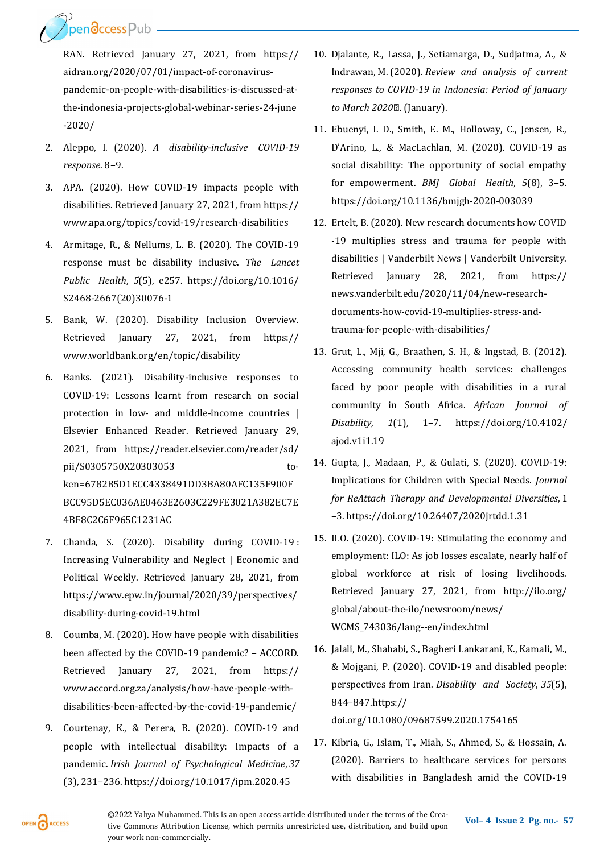**DendccessPub** 

RAN. Retrieved January 27, 2021, from https:// aidran.org/2020/07/01/impact-of-coronaviruspandemic-on-people-with-disabilities-is-discussed-atthe-indonesia-projects-global-webinar-series-24-june -2020/

- 2. Aleppo, I. (2020). *A disability-inclusive COVID-19 response*. 8–9.
- 3. APA. (2020). How COVID-19 impacts people with disabilities. Retrieved January 27, 2021, from https:// www.apa.org/topics/covid-19/research-disabilities
- 4. Armitage, R., & Nellums, L. B. (2020). The COVID-19 response must be disability inclusive. *The Lancet Public Health*, *5*(5), e257. https://doi.org/10.1016/ S2468-2667(20)30076-1
- 5. Bank, W. (2020). Disability Inclusion Overview. Retrieved January 27, 2021, from https:// www.worldbank.org/en/topic/disability
- 6. Banks. (2021). Disability-inclusive responses to COVID-19: Lessons learnt from research on social protection in low- and middle-income countries | Elsevier Enhanced Reader. Retrieved January 29, 2021, from https://reader.elsevier.com/reader/sd/ pii/S0305750X20303053 token=6782B5D1ECC4338491DD3BA80AFC135F900F BCC95D5EC036AE0463E2603C229FE3021A382EC7E 4BF8C2C6F965C1231AC
- 7. Chanda, S. (2020). Disability during COVID-19 : Increasing Vulnerability and Neglect | Economic and Political Weekly. Retrieved January 28, 2021, from https://www.epw.in/journal/2020/39/perspectives/ disability-during-covid-19.html
- 8. Coumba, M. (2020). How have people with disabilities been affected by the COVID-19 pandemic? – ACCORD. Retrieved January 27, 2021, from https:// www.accord.org.za/analysis/how-have-people-withdisabilities-been-affected-by-the-covid-19-pandemic/
- 9. Courtenay, K., & Perera, B. (2020). COVID-19 and people with intellectual disability: Impacts of a pandemic. *Irish Journal of Psychological Medicine*, *37* (3), 231–236. https://doi.org/10.1017/ipm.2020.45
- 10. Djalante, R., Lassa, J., Setiamarga, D., Sudjatma, A., & Indrawan, M. (2020). *Review and analysis of current responses to COVID-19 in Indonesia: Period of January to March 2020☆*. (January).
- 11. Ebuenyi, I. D., Smith, E. M., Holloway, C., Jensen, R., D'Arino, L., & MacLachlan, M. (2020). COVID-19 as social disability: The opportunity of social empathy for empowerment. *BMJ Global Health*, *5*(8), 3–5. https://doi.org/10.1136/bmjgh-2020-003039
- 12. Ertelt, B. (2020). New research documents how COVID -19 multiplies stress and trauma for people with disabilities | Vanderbilt News | Vanderbilt University. Retrieved January 28, 2021, from https:// news.vanderbilt.edu/2020/11/04/new-researchdocuments-how-covid-19-multiplies-stress-andtrauma-for-people-with-disabilities/
- 13. Grut, L., Mji, G., Braathen, S. H., & Ingstad, B. (2012). Accessing community health services: challenges faced by poor people with disabilities in a rural community in South Africa. *African Journal of Disability*, *1*(1), 1–7. https://doi.org/10.4102/ ajod.v1i1.19
- 14. Gupta, J., Madaan, P., & Gulati, S. (2020). COVID-19: Implications for Children with Special Needs. *Journal for ReAttach Therapy and Developmental Diversities*, 1 –3. https://doi.org/10.26407/2020jrtdd.1.31
- 15. ILO. (2020). COVID-19: Stimulating the economy and employment: ILO: As job losses escalate, nearly half of global workforce at risk of losing livelihoods. Retrieved January 27, 2021, from http://ilo.org/ global/about-the-ilo/newsroom/news/ WCMS\_743036/lang--en/index.html
- 16. Jalali, M., Shahabi, S., Bagheri Lankarani, K., Kamali, M., & Mojgani, P. (2020). COVID-19 and disabled people: perspectives from Iran. *Disability and Society*, *35*(5), 844–847.https:// doi.org/10.1080/09687599.2020.1754165
- 17. Kibria, G., Islam, T., Miah, S., Ahmed, S., & Hossain, A. (2020). Barriers to healthcare services for persons with disabilities in Bangladesh amid the COVID-19

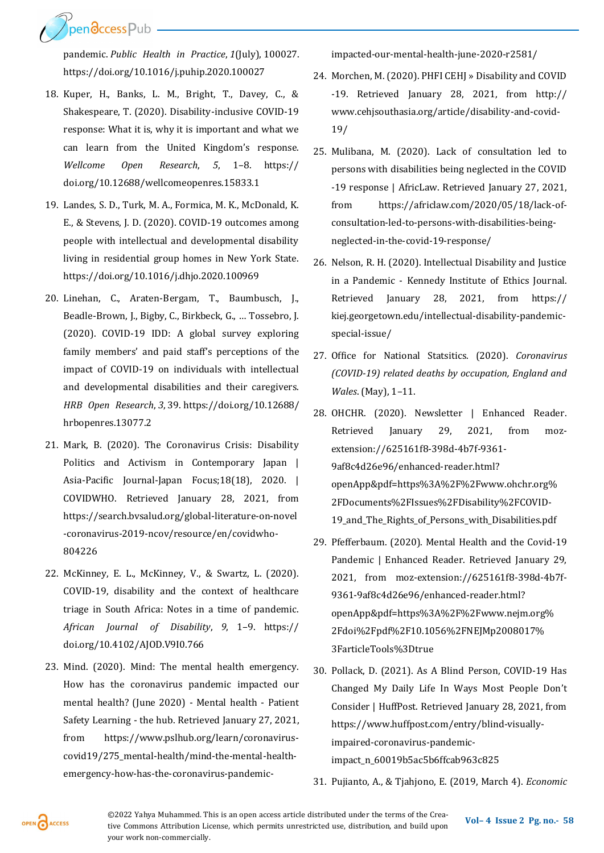pandemic. *Public Health in Practice*, *1*(July), 100027. https://doi.org/10.1016/j.puhip.2020.100027

- 18. Kuper, H., Banks, L. M., Bright, T., Davey, C., & Shakespeare, T. (2020). Disability-inclusive COVID-19 response: What it is, why it is important and what we can learn from the United Kingdom's response. *Wellcome Open Research*, *5*, 1–8. https:// doi.org/10.12688/wellcomeopenres.15833.1
- 19. Landes, S. D., Turk, M. A., Formica, M. K., McDonald, K. E., & Stevens, J. D. (2020). COVID-19 outcomes among people with intellectual and developmental disability living in residential group homes in New York State. https://doi.org/10.1016/j.dhjo.2020.100969
- 20. Linehan, C., Araten-Bergam, T., Baumbusch, J., Beadle-Brown, J., Bigby, C., Birkbeck, G., … Tossebro, J. (2020). COVID-19 IDD: A global survey exploring family members' and paid staff's perceptions of the impact of COVID-19 on individuals with intellectual and developmental disabilities and their caregivers. *HRB Open Research*, *3*, 39. https://doi.org/10.12688/ hrbopenres.13077.2
- 21. Mark, B. (2020). The Coronavirus Crisis: Disability Politics and Activism in Contemporary Japan | Asia-Pacific Journal-Japan Focus;18(18), 2020. | COVIDWHO. Retrieved January 28, 2021, from https://search.bvsalud.org/global-literature-on-novel -coronavirus-2019-ncov/resource/en/covidwho-804226
- 22. McKinney, E. L., McKinney, V., & Swartz, L. (2020). COVID-19, disability and the context of healthcare triage in South Africa: Notes in a time of pandemic. *African Journal of Disability*, *9*, 1–9. https:// doi.org/10.4102/AJOD.V9I0.766
- 23. Mind. (2020). Mind: The mental health emergency. How has the coronavirus pandemic impacted our mental health? (June 2020) - Mental health - Patient Safety Learning - the hub. Retrieved January 27, 2021, from https://www.pslhub.org/learn/coronaviruscovid19/275\_mental-health/mind-the-mental-healthemergency-how-has-the-coronavirus-pandemic-

impacted-our-mental-health-june-2020-r2581/

- 24. Morchen, M. (2020). PHFI CEHJ » Disability and COVID -19. Retrieved January 28, 2021, from http:// www.cehjsouthasia.org/article/disability-and-covid-19/
- 25. Mulibana, M. (2020). Lack of consultation led to persons with disabilities being neglected in the COVID -19 response | AfricLaw. Retrieved January 27, 2021, from https://africlaw.com/2020/05/18/lack-ofconsultation-led-to-persons-with-disabilities-beingneglected-in-the-covid-19-response/
- 26. Nelson, R. H. (2020). Intellectual Disability and Justice in a Pandemic - Kennedy Institute of Ethics Journal. Retrieved January 28, 2021, from https:// kiej.georgetown.edu/intellectual-disability-pandemicspecial-issue/
- 27. Office for National Statsitics. (2020). *Coronavirus (COVID-19) related deaths by occupation, England and Wales*. (May), 1–11.
- 28. OHCHR. (2020). Newsletter | Enhanced Reader. Retrieved January 29, 2021, from mozextension://625161f8-398d-4b7f-9361- 9af8c4d26e96/enhanced-reader.html? openApp&pdf=https%3A%2F%2Fwww.ohchr.org% 2FDocuments%2FIssues%2FDisability%2FCOVID-19 and The Rights of Persons with Disabilities.pdf
- 29. Pfefferbaum. (2020). Mental Health and the Covid-19 Pandemic | Enhanced Reader. Retrieved January 29, 2021, from moz-extension://625161f8-398d-4b7f-9361-9af8c4d26e96/enhanced-reader.html? openApp&pdf=https%3A%2F%2Fwww.nejm.org% 2Fdoi%2Fpdf%2F10.1056%2FNEJMp2008017% 3FarticleTools%3Dtrue
- 30. Pollack, D. (2021). As A Blind Person, COVID-19 Has Changed My Daily Life In Ways Most People Don't Consider | HuffPost. Retrieved January 28, 2021, from https://www.huffpost.com/entry/blind-visuallyimpaired-coronavirus-pandemicimpact\_n\_60019b5ac5b6ffcab963c825
- 31. Pujianto, A., & Tjahjono, E. (2019, March 4). *Economic*



**Vol– <sup>4</sup>Issue 2 Pg. no.-<sup>58</sup>** ©2022 Yahya Muhammed. This is an open access article distributed under the terms of the Creative Commons Attribution License, which permits unrestricted use, distribution, and build upon your work non-commercially.